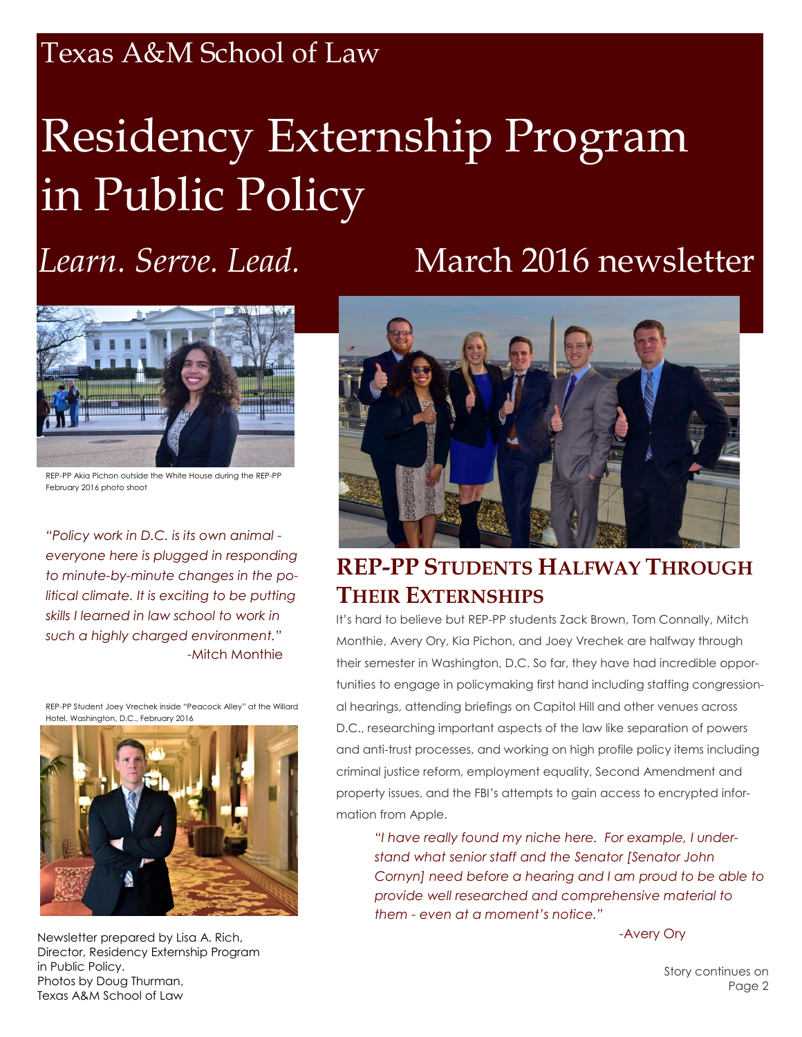## Texas A&M School of Law

# Residency Externship Program in Public Policy

## *Learn. Serve. Lead.* March 2016 newsletter



REP-PP Akia Pichon outside the White House during the REP-PP February 2016 photo shoot

*"Policy work in D.C. is its own animal everyone here is plugged in responding to minute-by-minute changes in the political climate. It is exciting to be putting skills I learned in law school to work in such a highly charged environment."* -Mitch Monthie

REP-PP Student Joey Vrechek inside "Peacock Alley" at the Willard Hotel, Washington, D.C., February 2016



Newsletter prepared by Lisa A. Rich, Director, Residency Externship Program in Public Policy. Photos by Doug Thurman, Texas A&M School of Law



### **REP-PP STUDENTS HALFWAY THROUGH THEIR EXTERNSHIPS**

It's hard to believe but REP-PP students Zack Brown, Tom Connally, Mitch Monthie, Avery Ory, Kia Pichon, and Joey Vrechek are halfway through their semester in Washington, D.C. So far, they have had incredible opportunities to engage in policymaking first hand including staffing congressional hearings, attending briefings on Capitol Hill and other venues across D.C., researching important aspects of the law like separation of powers and anti-trust processes, and working on high profile policy items including criminal justice reform, employment equality, Second Amendment and property issues, and the FBI's attempts to gain access to encrypted information from Apple.

*"I have really found my niche here. For example, I understand what senior staff and the Senator [Senator John Cornyn] need before a hearing and I am proud to be able to provide well researched and comprehensive material to them - even at a moment's notice."*

-Avery Ory